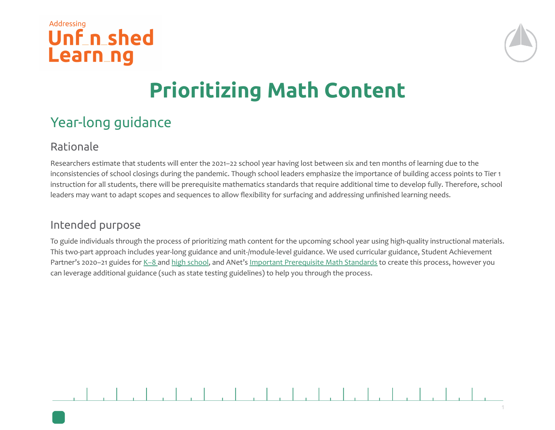



## **Prioritizing Math Content**

## Year-long guidance

## Rationale

Researchers estimate that students will enter the 2021–22 school year having lost between six and ten months of learning due to the inconsistencies of school closings during the pandemic. Though school leaders emphasize the importance of building access points to Tier 1 instruction for all students, there will be prerequisite mathematics standards that require additional time to develop fully. Therefore, school leaders may want to adapt scopes and sequences to allow flexibility for surfacing and addressing unfinished learning needs.

## Intended purpose

To guide individuals through the process of prioritizing math content for the upcoming school year using high-quality instructional materials. This two-part approach includes year-long guidance and unit-/module-level guidance. We used curricular guidance, Student Achievement Partner's 2020-21 guides for K-8 and [high school,](https://drive.google.com/file/d/1Ga6N5wJ0MwmnfXE-0HMPfEJOyyh9M00d/view?usp=sharing) and ANet's [Important Prerequisite Math Standards](https://docs.google.com/document/d/1YVlYSdzX1WHt4CYSfRtprf1102a4-IrMZ25ntuK25uk/edit?usp=sharing) to create this process, however you can leverage additional guidance (such as state testing guidelines) to help you through the process.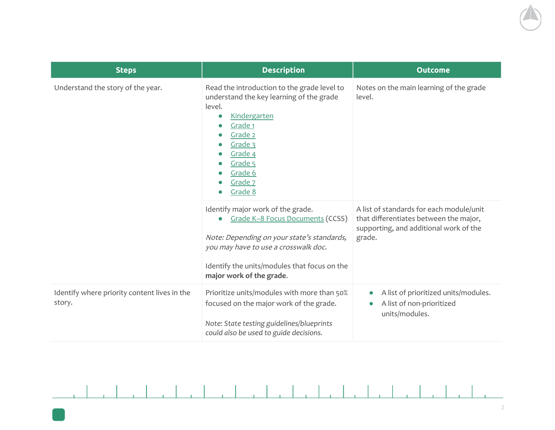| <b>Steps</b>                                           | <b>Description</b>                                                                                                                                                                                                                      | <b>Outcome</b>                                                                                                                         |
|--------------------------------------------------------|-----------------------------------------------------------------------------------------------------------------------------------------------------------------------------------------------------------------------------------------|----------------------------------------------------------------------------------------------------------------------------------------|
| Understand the story of the year.                      | Read the introduction to the grade level to<br>understand the key learning of the grade<br>level.<br>Kindergarten<br>Grade 1<br>Grade 2<br>Grade 3<br>Grade 4<br>Grade 5<br>Grade 6<br>Grade 7<br>Grade 8                               | Notes on the main learning of the grade<br>level.                                                                                      |
|                                                        | Identify major work of the grade.<br>Grade K-8 Focus Documents (CCSS)<br>Note: Depending on your state's standards,<br>you may have to use a crosswalk doc.<br>Identify the units/modules that focus on the<br>major work of the grade. | A list of standards for each module/unit<br>that differentiates between the major,<br>supporting, and additional work of the<br>grade. |
| Identify where priority content lives in the<br>story. | Prioritize units/modules with more than 50%<br>focused on the major work of the grade.<br>Note: State testing guidelines/blueprints<br>could also be used to guide decisions.                                                           | A list of prioritized units/modules.<br>A list of non-prioritized<br>units/modules.                                                    |

 $\mathcal{L}$  . The set

 $\frac{1}{2}$ 

 $\frac{1}{2}$ 

 $\frac{1}{2}$  ,  $\frac{1}{2}$  ,  $\frac{1}{2}$  ,  $\frac{1}{2}$  ,  $\frac{1}{2}$